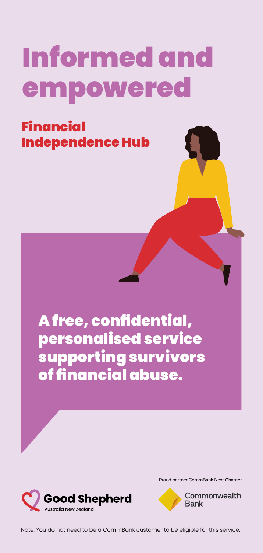# Informed and empowered

Financial Independence Hub

> A free, confidential, personalised service supporting survivors of financial abuse.



Proud partner CommBank Next Chapter

Commonwealth **Bank** 

Note: You do not need to be a CommBank customer to be eligible for this service.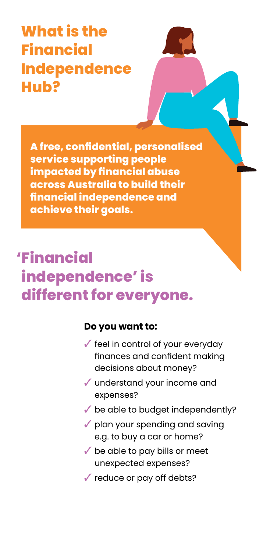## **What is the Financial Independence Hub?**

**A free, confidential, personalised service supporting people impacted by financial abuse across Australia to build their financial independence and achieve their goals.** 

## **'Financial independence' is different for everyone.**

#### **Do you want to:**

- $\checkmark$  feel in control of your everyday finances and confident making decisions about money?
- $\sqrt{\ }$  understand your income and expenses?
- $\checkmark$  be able to budget independently?
- $\sqrt{\ }$  plan your spending and saving e.g. to buy a car or home?
- $\checkmark$  be able to pay bills or meet unexpected expenses?
- $\checkmark$  reduce or pay off debts?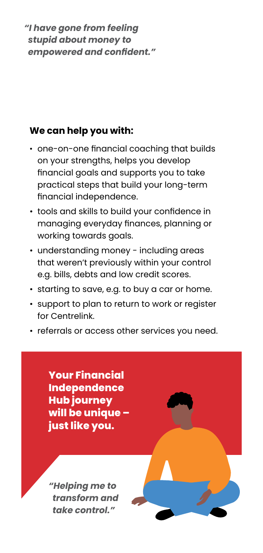*"I have gone from feeling stupid about money to empowered and confident."*

#### **We can help you with:**

- one-on-one financial coaching that builds on your strengths, helps you develop financial goals and supports you to take practical steps that build your long-term financial independence.
- tools and skills to build your confidence in managing everyday finances, planning or working towards goals.
- understanding money including areas that weren't previously within your control e.g. bills, debts and low credit scores.
- starting to save, e.g. to buy a car or home.
- support to plan to return to work or register for Centrelink.
- referrals or access other services you need.

**Your Financial Independence Hub journey will be unique – just like you.**

*"Helping me to transform and take control."*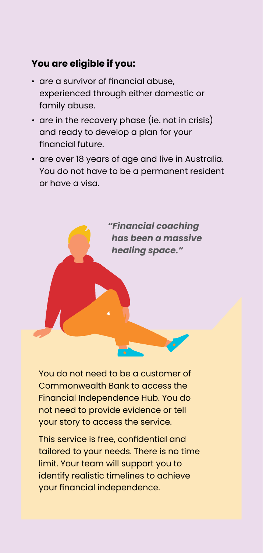#### **You are eligible if you:**

- are a survivor of financial abuse, experienced through either domestic or family abuse.
- are in the recovery phase (ie. not in crisis) and ready to develop a plan for your financial future.
- are over 18 years of age and live in Australia. You do not have to be a permanent resident or have a visa.



You do not need to be a customer of Commonwealth Bank to access the Financial Independence Hub. You do not need to provide evidence or tell your story to access the service.

This service is free, confidential and tailored to your needs. There is no time limit. Your team will support you to identify realistic timelines to achieve your financial independence.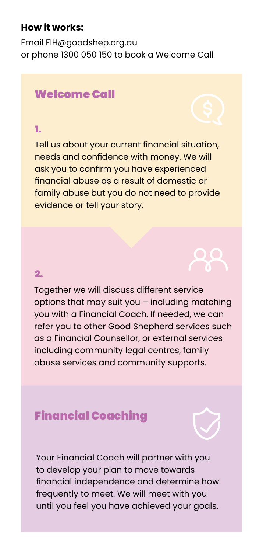#### **How it works:**

Email FIH@goodshep.org.au or phone 1300 050 150 to book a Welcome Call

#### Welcome Call

#### 1.

Tell us about your current financial situation, needs and confidence with money. We will ask you to confirm you have experienced financial abuse as a result of domestic or family abuse but you do not need to provide evidence or tell your story.

#### 2.

Together we will discuss different service options that may suit you – including matching you with a Financial Coach. If needed, we can refer you to other Good Shepherd services such as a Financial Counsellor, or external services including community legal centres, family abuse services and community supports.

### Financial Coaching

Your Financial Coach will partner with you to develop your plan to move towards financial independence and determine how frequently to meet. We will meet with you until you feel you have achieved your goals.